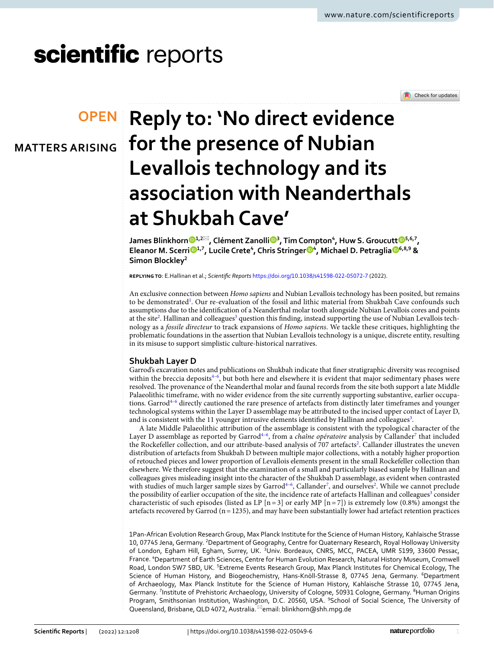Check for updates

# scientific reports

**MATTERS ARISING**



**James Blinkhorn [1](http://orcid.org/0000-0002-9399-5515),2**\***, Clément Zanoll[i](http://orcid.org/0000-0002-5617-1613) <sup>3</sup> , Tim Compton4 , Huw S.Groucutt [5](http://orcid.org/0000-0002-9111-1720),6,7, Eleanor M. Scerri [1](http://orcid.org/0000-0002-7468-9977),7, Lucile Crete4 , Chris Stringer [4](http://orcid.org/0000-0002-9183-7337) , Michael D. Petragli[a](http://orcid.org/0000-0003-2522-5727) 6,8,9 & Simon Blockley2**

**replying to**: E.Hallinan et al.; *Scientifc Reports* <https://doi.org/10.1038/s41598-022-05072-7> (2022).

An exclusive connection between *Homo sapiens* and Nubian Levallois technology has been posited, but remains to be demonstrated<sup>[1](#page-2-0)</sup>. Our re-evaluation of the fossil and lithic material from Shukbah Cave confounds such assumptions due to the identifcation of a Neanderthal molar tooth alongside Nubian Levallois cores and points at the site<sup>2</sup>. Hallinan and colleagues<sup>3</sup> question this finding, instead supporting the use of Nubian Levallois technology as a *fossile directeur* to track expansions of *Homo sapiens*. We tackle these critiques, highlighting the problematic foundations in the assertion that Nubian Levallois technology is a unique, discrete entity, resulting in its misuse to support simplistic culture-historical narratives.

# **Shukbah Layer D**

Garrod's excavation notes and publications on Shukbah indicate that fner stratigraphic diversity was recognised within the breccia deposits<sup>4-6</sup>, but both here and elsewhere it is evident that major sedimentary phases were resolved. The provenance of the Neanderthal molar and faunal records from the site both support a late Middle Palaeolithic timeframe, with no wider evidence from the site currently supporting substantive, earlier occupa-tions. Garrod<sup>4-[6](#page-2-4)</sup> directly cautioned the rare presence of artefacts from distinctly later timeframes and younger technological systems within the Layer D assemblage may be attributed to the incised upper contact of Layer D, and is consistent with the 11 younger intrusive elements identified by Hallinan and colleagues<sup>3</sup>.

A late Middle Palaeolithic attribution of the assemblage is consistent with the typological character of the Layer D assemblage as reported by Garrod<sup>4-[6](#page-2-4)</sup>, from a *chaîne opératoire* analysis by Callander<sup>[7](#page-2-5)</sup> that included the Rockefeller collection, and our attribute-based analysis of 707 artefacts<sup>[2](#page-2-1)</sup>. Callander illustrates the uneven distribution of artefacts from Shukbah D between multiple major collections, with a notably higher proportion of retouched pieces and lower proportion of Levallois elements present in the small Rockefeller collection than elsewhere. We therefore suggest that the examination of a small and particularly biased sample by Hallinan and colleagues gives misleading insight into the character of the Shukbah D assemblage, as evident when contrasted with studies of much larger sample sizes by Garrod<sup>4-[6](#page-2-4)</sup>, Callander<sup>7</sup>, and ourselves<sup>[2](#page-2-1)</sup>. While we cannot preclude the possibility of earlier occupation of the site, the incidence rate of artefacts Hallinan and colleagues<sup>3</sup> consider characteristic of such episodes (listed as LP  $[n=3]$  or early MP  $[n=7]$ ) is extremely low (0.8%) amongst the artefacts recovered by Garrod (n=1235), and may have been substantially lower had artefact retention practices

1Pan‑African Evolution ResearchGroup, Max Planck Institute for the Science of Human History, Kahlaische Strasse 10, 07745 Jena, Germany. <sup>2</sup>Department of Geography, Centre for Quaternary Research, Royal Holloway University of London, Egham Hill, Egham, Surrey, UK. <sup>3</sup>Univ. Bordeaux, CNRS, MCC, PACEA, UMR 5199, 33600 Pessac, France. <sup>4</sup> Department of Earth Sciences, Centre for Human Evolution Research, Natural History Museum, Cromwell Road, London SW7 5BD, UK. <sup>5</sup>Extreme Events Research Group, Max Planck Institutes for Chemical Ecology, The Science of Human History, and Biogeochemistry, Hans-Knöll-Strasse 8, 07745 Jena, Germany. <sup>6</sup>Department of Archaeology, Max Planck Institute for the Science of Human History, Kahlaische Strasse 10, 07745 Jena, Germany. <sup>7</sup>Institute of Prehistoric Archaeology, University of Cologne, 50931 Cologne, Germany. <sup>8</sup>Human Origins Program, Smithsonian Institution, Washington, D.C. 20560, USA. <sup>9</sup>School of Social Science, The University of Queensland, Brisbane, QLD 4072, Australia.<sup>⊠</sup>email: blinkhorn@shh.mpg.de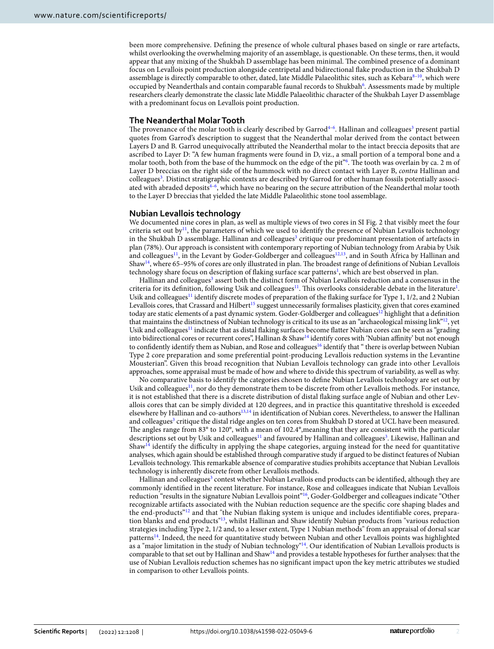been more comprehensive. Defning the presence of whole cultural phases based on single or rare artefacts, whilst overlooking the overwhelming majority of an assemblage, is questionable. On these terms, then, it would appear that any mixing of the Shukbah D assemblage has been minimal. The combined presence of a dominant focus on Levallois point production alongside centripetal and bidirectional fake production in the Shukbah D assemblage is directly comparable to other, dated, late Middle Palaeolithic sites, such as Kebara $8-10$ , which were occupied by Neanderthals and contain comparable faunal records to Shukbah<sup>[6](#page-2-4)</sup>. Assessments made by multiple researchers clearly demonstrate the classic late Middle Palaeolithic character of the Shukbah Layer D assemblage with a predominant focus on Levallois point production.

## **The Neanderthal Molar Tooth**

The provenance of the molar tooth is clearly described by Garrod<sup>4-6</sup>. Hallinan and colleagues<sup>[3](#page-2-2)</sup> present partial quotes from Garrod's description to suggest that the Neanderthal molar derived from the contact between Layers D and B. Garrod unequivocally attributed the Neanderthal molar to the intact breccia deposits that are ascribed to Layer D: "A few human fragments were found in D, viz., a small portion of a temporal bone and a molar tooth, both from the base of the hummock on the edge of the pit<sup>3[6](#page-2-4)</sup>. The tooth was overlain by ca. 2 m of Layer D breccias on the right side of the hummock with no direct contact with Layer B, *contra* Hallinan and colleagues<sup>3</sup>. Distinct stratigraphic contexts are described by Garrod for other human fossils potentially associ-ated with abraded deposits<sup>[4](#page-2-3)-[6](#page-2-4)</sup>, which have no bearing on the secure attribution of the Neanderthal molar tooth to the Layer D breccias that yielded the late Middle Palaeolithic stone tool assemblage.

# **Nubian Levallois technology**

We documented nine cores in plan, as well as multiple views of two cores in SI Fig. 2 that visibly meet the four criteria set out by $\frac{11}{1}$  $\frac{11}{1}$  $\frac{11}{1}$ , the parameters of which we used to identify the presence of Nubian Levallois technology in the Shukbah D assemblage. Hallinan and colleagues<sup>[3](#page-2-2)</sup> critique our predominant presentation of artefacts in plan (78%). Our approach is consistent with contemporary reporting of Nubian technology from Arabia by Usik and colleagues<sup>11</sup>, in the Levant by Goder-Goldberger and colleagues<sup>[12,](#page-2-9)13</sup>, and in South Africa by Hallinan and Shaw<sup>[14](#page-2-11)</sup>, where 65–95% of cores are only illustrated in plan. The broadest range of definitions of Nubian Levallois technology share focus on description of flaking surface scar patterns<sup>[1](#page-2-0)</sup>, which are best observed in plan.

Hallinan and colleagues<sup>3</sup> assert both the distinct form of Nubian Levallois reduction and a consensus in the criteria for its definition, following Usik and colleagues<sup>[11](#page-2-8)</sup>. This overlooks considerable debate in the literature<sup>1</sup>. Usik and colleagues<sup>[11](#page-2-8)</sup> identify discrete modes of preparation of the flaking surface for Type 1, 1/2, and 2 Nubian Levallois cores, that Crassard and Hilbert<sup>15</sup> suggest unnecessarily formalises plasticity, given that cores examined today are static elements of a past dynamic system. Goder-Goldberger and colleagues<sup>12</sup> highlight that a definition that maintains the distinctness of Nubian technology is critical to its use as an "archaeological missing link["12,](#page-2-9) yet Usik and colleagues<sup>[11](#page-2-8)</sup> indicate that as distal flaking surfaces become flatter Nubian cores can be seen as "grading" into bidirectional cores or recurrent cores", Hallinan & Shaw<sup>14</sup> identify cores with 'Nubian affinity' but not enough to confidently identify them as Nubian, and Rose and colleagues<sup>16</sup> identify that " there is overlap between Nubian Type 2 core preparation and some preferential point-producing Levallois reduction systems in the Levantine Mousterian". Given this broad recognition that Nubian Levallois technology can grade into other Levallois approaches, some appraisal must be made of how and where to divide this spectrum of variability, as well as why.

No comparative basis to identify the categories chosen to defne Nubian Levallois technology are set out by Usik and colleagues<sup>[11](#page-2-8)</sup>, nor do they demonstrate them to be discrete from other Levallois methods. For instance, it is not established that there is a discrete distribution of distal faking surface angle of Nubian and other Levallois cores that can be simply divided at 120 degrees, and in practice this quantitative threshold is exceeded elsewhere by Hallinan and co-author[s13](#page-2-10)[,14](#page-2-11) in identifcation of Nubian cores. Nevertheless, to answer the Hallinan and colleagues<sup>3</sup> critique the distal ridge angles on ten cores from Shukbah D stored at UCL have been measured. The angles range from 83° to 120°, with a mean of 102.4°, meaning that they are consistent with the particular descriptions set out by Usik and colleagues<sup>11</sup> and favoured by Hallinan and colleagues<sup>3</sup>. Likewise, Hallinan and Shaw<sup>14</sup> identify the difficulty in applying the shape categories, arguing instead for the need for quantitative analyses, which again should be established through comparative study if argued to be distinct features of Nubian Levallois technology. Tis remarkable absence of comparative studies prohibits acceptance that Nubian Levallois technology is inherently discrete from other Levallois methods.

Hallinan and colleagues<sup>[3](#page-2-2)</sup> contest whether Nubian Levallois end products can be identified, although they are commonly identifed in the recent literature. For instance, Rose and colleagues indicate that Nubian Levallois reduction "results in the signature Nubian Levallois point["16,](#page-3-1) Goder-Goldberger and colleagues indicate "Other recognizable artifacts associated with the Nubian reduction sequence are the specifc core shaping blades and the end-products"<sup>12</sup> and that "the Nubian flaking system is unique and includes identifiable cores, preparation blanks and end products["13,](#page-2-10) whilst Hallinan and Shaw identify Nubian products from "various reduction strategies including Type 2, 1/2 and, to a lesser extent, Type 1 Nubian methods" from an appraisal of dorsal scar pattern[s14](#page-2-11). Indeed, the need for quantitative study between Nubian and other Levallois points was highlighted as a "major limitation in the study of Nubian technology["14](#page-2-11). Our identifcation of Nubian Levallois products is comparable to that set out by Hallinan and Shaw[14](#page-2-11) and provides a testable hypotheses for further analyses: that the use of Nubian Levallois reduction schemes has no signifcant impact upon the key metric attributes we studied in comparison to other Levallois points.

2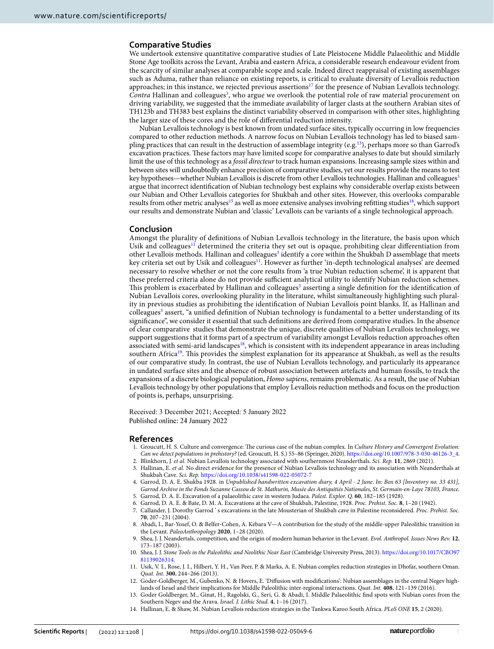### **Comparative Studies**

We undertook extensive quantitative comparative studies of Late Pleistocene Middle Palaeolithic and Middle Stone Age toolkits across the Levant, Arabia and eastern Africa, a considerable research endeavour evident from the scarcity of similar analyses at comparable scope and scale. Indeed direct reappraisal of existing assemblages such as Aduma, rather than reliance on existing reports, is critical to evaluate diversity of Levallois reduction approaches; in this instance, we rejected previous assertions<sup>17</sup> for the presence of Nubian Levallois technology. Contra Hallinan and colleagues<sup>[3](#page-2-2)</sup>, who argue we overlook the potential role of raw material procurement on driving variability, we suggested that the immediate availability of larger clasts at the southern Arabian sites of TH123b and TH383 best explains the distinct variability observed in comparison with other sites, highlighting the larger size of these cores and the role of diferential reduction intensity.

Nubian Levallois technology is best known from undated surface sites, typically occurring in low frequencies compared to other reduction methods. A narrow focus on Nubian Levallois technology has led to biased sampling practices that can result in the destruction of assemblage integrity (e.g.<sup>13</sup>), perhaps more so than Garrod's excavation practices. These factors may have limited scope for comparative analyses to date but should similarly limit the use of this technology as a *fossil directeur* to track human expansions. Increasing sample sizes within and between sites will undoubtedly enhance precision of comparative studies, yet our results provide the means to test key hypotheses—whether Nubian Levallois is discrete from other Levallois technologies. Hallinan and colleagues<sup>3</sup> argue that incorrect identifcation of Nubian technology best explains why considerable overlap exists between our Nubian and Other Levallois categories for Shukbah and other sites. However, this overlooks comparable results from other metric analyses<sup>[15](#page-3-0)</sup> as well as more extensive analyses involving refitting studies<sup>18</sup>, which support our results and demonstrate Nubian and 'classic' Levallois can be variants of a single technological approach.

#### **Conclusion**

Amongst the plurality of defnitions of Nubian Levallois technology in the literature, the basis upon which Usik and colleagues<sup>11</sup> determined the criteria they set out is opaque, prohibiting clear differentiation from other Levallois methods. Hallinan and colleagues<sup>[3](#page-2-2)</sup> identify a core within the Shukbah D assemblage that meets key criteria set out by Usik and colleagues<sup>[11](#page-2-8)</sup>. However as further 'in-depth technological analyses' are deemed necessary to resolve whether or not the core results from 'a true Nubian reduction scheme', it is apparent that these preferred criteria alone do not provide sufficient analytical utility to identify Nubian reduction schemes. This problem is exacerbated by Hallinan and colleagues<sup>3</sup> asserting a single definition for the identification of Nubian Levallois cores, overlooking plurality in the literature, whilst simultaneously highlighting such plurality in previous studies as prohibiting the identifcation of Nubian Levallois point blanks. If, as Hallinan and colleagues<sup>[3](#page-2-2)</sup> assert, "a unified definition of Nubian technology is fundamental to a better understanding of its signifcance", we consider it essential that such defnitions are derived from comparative studies. In the absence of clear comparative studies that demonstrate the unique, discrete qualities of Nubian Levallois technology, we support suggestions that it forms part of a spectrum of variability amongst Levallois reduction approaches ofen associated with semi-arid landscapes<sup>18</sup>, which is consistent with its independent appearance in areas including southern Africa<sup>19</sup>. This provides the simplest explanation for its appearance at Shukbah, as well as the results of our comparative study. In contrast, the use of Nubian Levallois technology, and particularly its appearance in undated surface sites and the absence of robust association between artefacts and human fossils, to track the expansions of a discrete biological population, *Homo sapiens*, remains problematic. As a result, the use of Nubian Levallois technology by other populations that employ Levallois reduction methods and focus on the production of points is, perhaps, unsurprising.

Received: 3 December 2021; Accepted: 5 January 2022 Published online: 24 January 2022

#### **References**

- <span id="page-2-0"></span>1. Groucutt, H. S. Culture and convergence: The curious case of the nubian complex. In *Culture History and Convergent Evolution*: *Can we detect populations in prehistory?* (ed. Groucutt, H. S.) 55–86 (Springer, 2020). [https://doi.org/10.1007/978-3-030-46126-3\\_4](https://doi.org/10.1007/978-3-030-46126-3_4).
- <span id="page-2-1"></span>2. Blinkhorn, J. *et al.* Nubian Levallois technology associated with southernmost Neanderthals. *Sci. Rep.* **11**, 2869 (2021).
- <span id="page-2-2"></span>3. Hallinan, E. *et al.* No direct evidence for the presence of Nubian Levallois technology and its association with Neanderthals at Shukbah Cave. *Sci. Rep.* <https://doi.org/10.1038/s41598-022-05072-7>
- <span id="page-2-3"></span>4. Garrod, D. A. E. Shukba 1928. in *Unpublished handwritten excavation diary, 4 April - 2 June. In: Box 63 [Inventory no. 33 431], Garrod Archive in the Fonds Suzanne Cassou de St. Mathurin, Musée des Antiquitiés Nationales, St. Germain-en-Laye 78103, France.*
- 5. Garrod, D. A. E. Excavation of a palaeolithic cave in western Judaea. *Palest. Explor. Q.* **60**, 182–185 (1928).
- <span id="page-2-5"></span><span id="page-2-4"></span>6. Garrod, D. A. E. & Bate, D. M. A. Excavations at the cave of Shukbah, Palestine, 1928. *Proc. Prehist. Soc.* **8**, 1–20 (1942). 7. Callander, J. Dorothy Garrod ' s excavations in the late Mousterian of Shukbah cave in Palestine reconsidered. *Proc. Prehist. Soc.*
	- **70**, 207–231 (2004).
- <span id="page-2-6"></span>8. Abadi, I., Bar-Yosef, O. & Belfer-Cohen, A. Kebara V—A contribution for the study of the middle-upper Paleolithic transition in the Levant. *PaleoAnthropology* **2020**, 1–28 (2020).
- 9. Shea, J. J. Neandertals, competition, and the origin of modern human behavior in the Levant. *Evol. Anthropol. Issues News Rev.* **12**, 173–187 (2003).
- <span id="page-2-7"></span>10. Shea, J. J. *Stone Tools in the Paleolithic and Neolithic Near East* (Cambridge University Press, 2013). [https://doi.org/10.1017/CBO97](https://doi.org/10.1017/CBO9781139026314) [81139026314](https://doi.org/10.1017/CBO9781139026314).
- <span id="page-2-8"></span>11. Usik, V. I., Rose, J. I., Hilbert, Y. H., Van Peer, P. & Marks, A. E. Nubian complex reduction strategies in Dhofar, southern Oman. *Quat. Int.* **300**, 244–266 (2013).
- <span id="page-2-9"></span>12. Goder-Goldberger, M., Gubenko, N. & Hovers, E. 'Difusion with modifcations': Nubian assemblages in the central Negev highlands of Israel and their implications for Middle Paleolithic inter-regional interactions. *Quat. Int.* **408**, 121–139 (2016).
- <span id="page-2-10"></span>13. Goder Goldberger, M., Ginat, H., Ragolski, G., Seri, G. & Abadi, I. Middle Palaeolithic fnd spots with Nubian cores from the Southern Negev and the Arava. *Israel. J. Lithic Stud.* **4**, 1–16 (2017).
- <span id="page-2-11"></span>14. Hallinan, E. & Shaw, M. Nubian Levallois reduction strategies in the Tankwa Karoo South Africa. *PLoS ONE* **15**, 2 (2020).